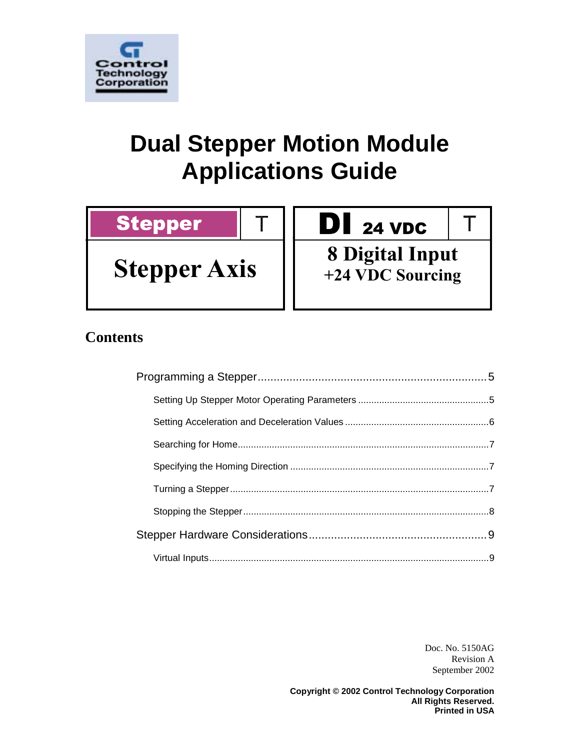

# **Dual Stepper Motion Module Applications Guide**

T

# Stepper

**Stepper Axis**

# DI 24 VDC

**8 Digital Input +24 VDC Sourcing**

 $\top$ 

# **Contents**

Doc. No. 5150AG Revision A September 2002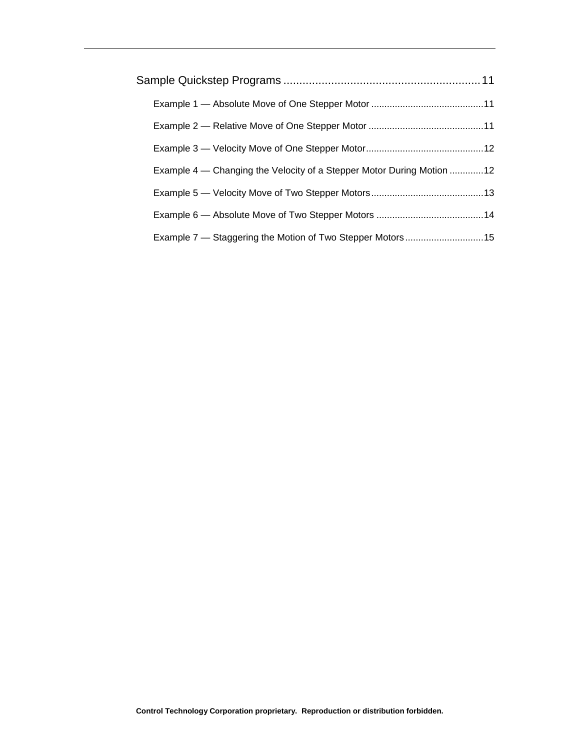| Example 4 - Changing the Velocity of a Stepper Motor During Motion 12 |  |
|-----------------------------------------------------------------------|--|
|                                                                       |  |
|                                                                       |  |
|                                                                       |  |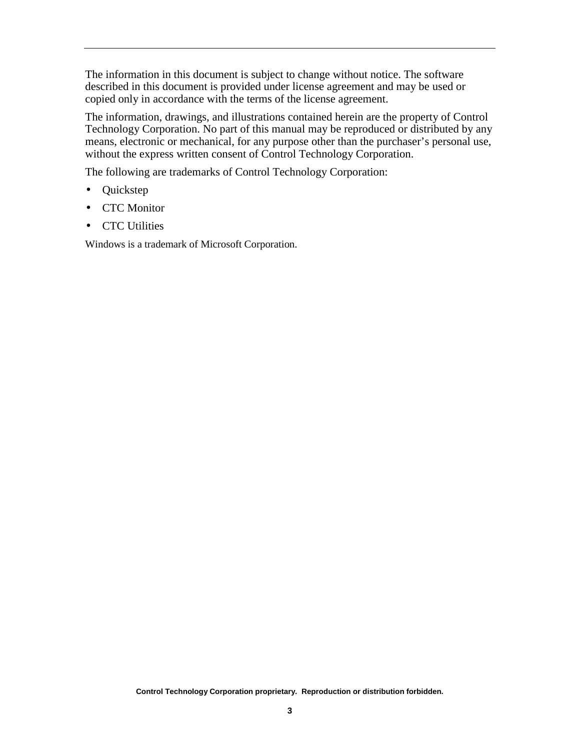The information in this document is subject to change without notice. The software described in this document is provided under license agreement and may be used or copied only in accordance with the terms of the license agreement.

The information, drawings, and illustrations contained herein are the property of Control Technology Corporation. No part of this manual may be reproduced or distributed by any means, electronic or mechanical, for any purpose other than the purchaser's personal use, without the express written consent of Control Technology Corporation.

The following are trademarks of Control Technology Corporation:

- Quickstep
- CTC Monitor
- CTC Utilities

Windows is a trademark of Microsoft Corporation.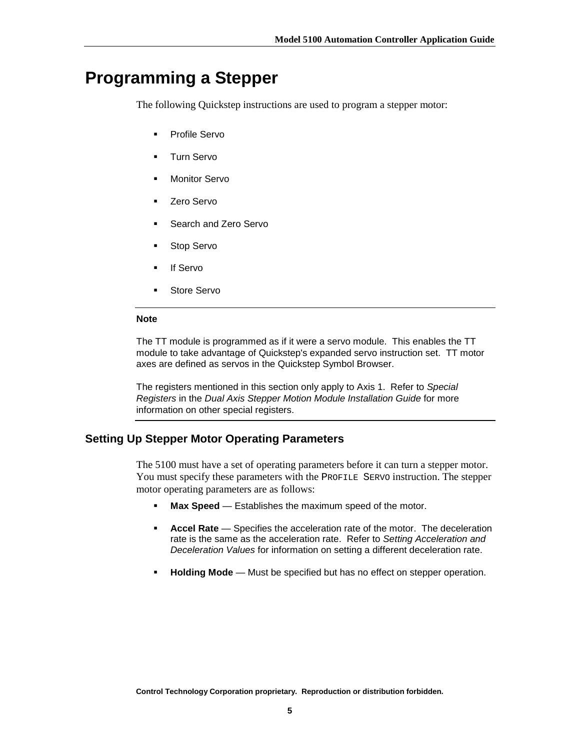# <span id="page-4-0"></span>**Programming a Stepper**

The following Quickstep instructions are used to program a stepper motor:

- Profile Servo
- **Turn Servo**
- **Monitor Servo**
- Zero Servo
- Search and Zero Servo
- Stop Servo
- If Servo
- Store Servo

### **Note**

The TT module is programmed as if it were a servo module. This enables the TT module to take advantage of Quickstep's expanded servo instruction set. TT motor axes are defined as servos in the Quickstep Symbol Browser.

The registers mentioned in this section only apply to Axis 1. Refer to *Special Registers* in the *Dual Axis Stepper Motion Module Installation Guide* for more information on other special registers.

# **Setting Up Stepper Motor Operating Parameters**

The 5100 must have a set of operating parameters before it can turn a stepper motor. You must specify these parameters with the PROFILE SERVO instruction. The stepper motor operating parameters are as follows:

- **Max Speed** Establishes the maximum speed of the motor.
- **Accel Rate** Specifies the acceleration rate of the motor. The deceleration rate is the same as the acceleration rate. Refer to *Setting Acceleration and Deceleration Values* for information on setting a different deceleration rate.
- **Holding Mode** Must be specified but has no effect on stepper operation.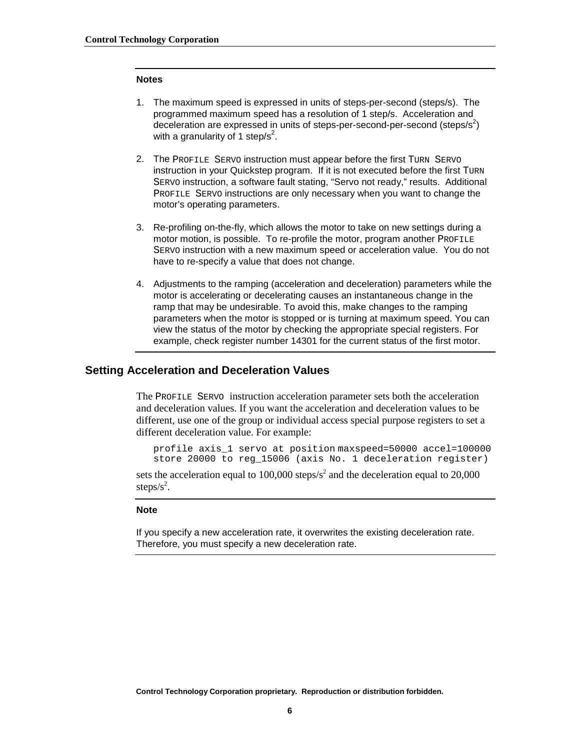#### <span id="page-5-0"></span>**Notes**

- 1. The maximum speed is expressed in units of steps-per-second (steps/s). The programmed maximum speed has a resolution of 1 step/s. Acceleration and deceleration are expressed in units of steps-per-second-per-second (steps/s<sup>2</sup>) with a granularity of 1 step/s<sup>2</sup>.
- 2. The PROFILE SERVO instruction must appear before the first TURN SERVO instruction in your Quickstep program. If it is not executed before the first TURN SERVO instruction, a software fault stating, "Servo not ready," results. Additional PROFILE SERVO instructions are only necessary when you want to change the motor's operating parameters.
- 3. Re-profiling on-the-fly, which allows the motor to take on new settings during a motor motion, is possible. To re-profile the motor, program another PROFILE SERVO instruction with a new maximum speed or acceleration value. You do not have to re-specify a value that does not change.
- 4. Adjustments to the ramping (acceleration and deceleration) parameters while the motor is accelerating or decelerating causes an instantaneous change in the ramp that may be undesirable. To avoid this, make changes to the ramping parameters when the motor is stopped or is turning at maximum speed. You can view the status of the motor by checking the appropriate special registers. For example, check register number 14301 for the current status of the first motor.

# **Setting Acceleration and Deceleration Values**

The PROFILE SERVO instruction acceleration parameter sets both the acceleration and deceleration values. If you want the acceleration and deceleration values to be different, use one of the group or individual access special purpose registers to set a different deceleration value. For example:

profile axis\_1 servo at position maxspeed=50000 accel=100000 store 20000 to reg\_15006 (axis No. 1 deceleration register)

sets the acceleration equal to 100,000 steps/ $s^2$  and the deceleration equal to 20,000 steps/ $s^2$ .

#### **Note**

If you specify a new acceleration rate, it overwrites the existing deceleration rate. Therefore, you must specify a new deceleration rate.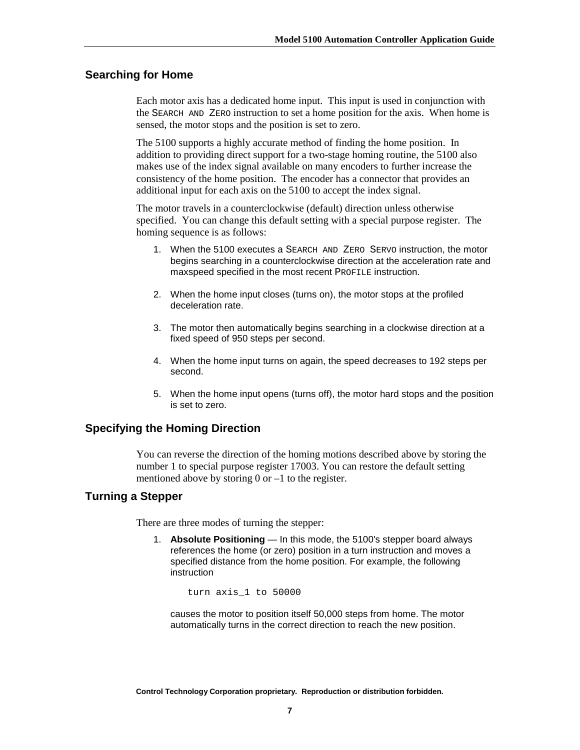# <span id="page-6-0"></span>**Searching for Home**

Each motor axis has a dedicated home input. This input is used in conjunction with the SEARCH AND ZERO instruction to set a home position for the axis. When home is sensed, the motor stops and the position is set to zero.

The 5100 supports a highly accurate method of finding the home position. In addition to providing direct support for a two-stage homing routine, the 5100 also makes use of the index signal available on many encoders to further increase the consistency of the home position. The encoder has a connector that provides an additional input for each axis on the 5100 to accept the index signal.

The motor travels in a counterclockwise (default) direction unless otherwise specified. You can change this default setting with a special purpose register. The homing sequence is as follows:

- 1. When the 5100 executes a SEARCH AND ZERO SERVO instruction, the motor begins searching in a counterclockwise direction at the acceleration rate and maxspeed specified in the most recent PROFILE instruction.
- 2. When the home input closes (turns on), the motor stops at the profiled deceleration rate.
- 3. The motor then automatically begins searching in a clockwise direction at a fixed speed of 950 steps per second.
- 4. When the home input turns on again, the speed decreases to 192 steps per second.
- 5. When the home input opens (turns off), the motor hard stops and the position is set to zero.

## **Specifying the Homing Direction**

You can reverse the direction of the homing motions described above by storing the number 1 to special purpose register 17003. You can restore the default setting mentioned above by storing  $0$  or  $-1$  to the register.

# **Turning a Stepper**

There are three modes of turning the stepper:

1. **Absolute Positioning** — In this mode, the 5100's stepper board always references the home (or zero) position in a turn instruction and moves a specified distance from the home position. For example, the following instruction

turn axis\_1 to 50000

causes the motor to position itself 50,000 steps from home. The motor automatically turns in the correct direction to reach the new position.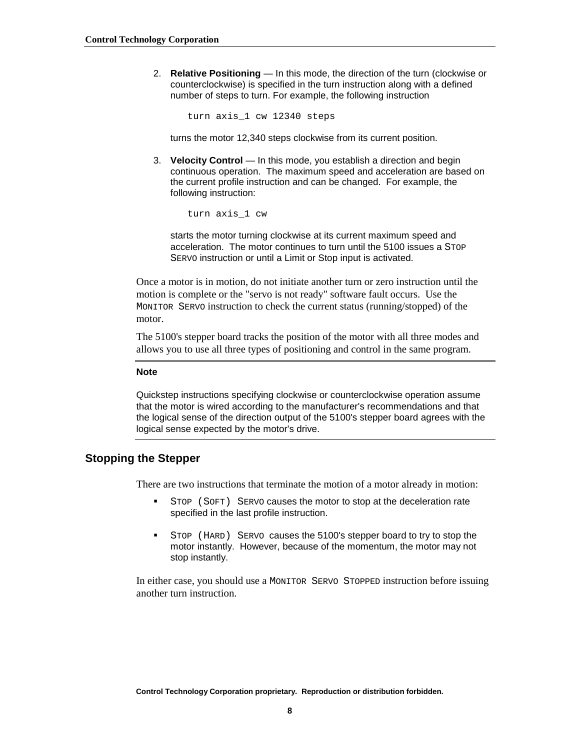<span id="page-7-0"></span>2. **Relative Positioning** — In this mode, the direction of the turn (clockwise or counterclockwise) is specified in the turn instruction along with a defined number of steps to turn. For example, the following instruction

turn axis\_1 cw 12340 steps

turns the motor 12,340 steps clockwise from its current position.

3. **Velocity Control** — In this mode, you establish a direction and begin continuous operation. The maximum speed and acceleration are based on the current profile instruction and can be changed. For example, the following instruction:

turn axis\_1 cw

starts the motor turning clockwise at its current maximum speed and acceleration. The motor continues to turn until the 5100 issues a STOP SERVO instruction or until a Limit or Stop input is activated.

Once a motor is in motion, do not initiate another turn or zero instruction until the motion is complete or the "servo is not ready" software fault occurs. Use the MONITOR SERVO instruction to check the current status (running/stopped) of the motor.

The 5100's stepper board tracks the position of the motor with all three modes and allows you to use all three types of positioning and control in the same program.

#### **Note**

Quickstep instructions specifying clockwise or counterclockwise operation assume that the motor is wired according to the manufacturer's recommendations and that the logical sense of the direction output of the 5100's stepper board agrees with the logical sense expected by the motor's drive.

# **Stopping the Stepper**

There are two instructions that terminate the motion of a motor already in motion:

- ! STOP (SOFT) SERVO causes the motor to stop at the deceleration rate specified in the last profile instruction.
- STOP (HARD) SERVO causes the 5100's stepper board to try to stop the motor instantly. However, because of the momentum, the motor may not stop instantly.

In either case, you should use a MONITOR SERVO STOPPED instruction before issuing another turn instruction.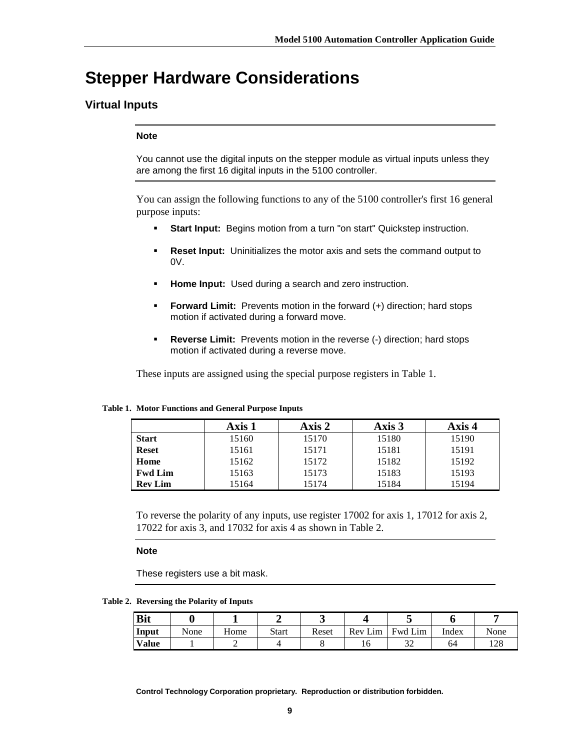# <span id="page-8-0"></span>**Stepper Hardware Considerations**

# **Virtual Inputs**

### **Note**

You cannot use the digital inputs on the stepper module as virtual inputs unless they are among the first 16 digital inputs in the 5100 controller.

You can assign the following functions to any of the 5100 controller's first 16 general purpose inputs:

- **Start Input:** Begins motion from a turn "on start" Quickstep instruction.
- ! **Reset Input:** Uninitializes the motor axis and sets the command output to 0V.
- **Home Input:** Used during a search and zero instruction.
- ! **Forward Limit:** Prevents motion in the forward (+) direction; hard stops motion if activated during a forward move.
- ! **Reverse Limit:** Prevents motion in the reverse (-) direction; hard stops motion if activated during a reverse move.

These inputs are assigned using the special purpose registers in Table 1.

#### **Table 1. Motor Functions and General Purpose Inputs**

|                | Axis 1 | Axis 2 | Axis 3 | Axis 4 |
|----------------|--------|--------|--------|--------|
| <b>Start</b>   | 15160  | 15170  | 15180  | 15190  |
| <b>Reset</b>   | 15161  | 15171  | 15181  | 15191  |
| Home           | 15162  | 15172  | 15182  | 15192  |
| <b>Fwd Lim</b> | 15163  | 15173  | 15183  | 15193  |
| <b>Rev Lim</b> | 15164  | 15174  | 15184  | 15194  |

To reverse the polarity of any inputs, use register 17002 for axis 1, 17012 for axis 2, 17022 for axis 3, and 17032 for axis 4 as shown in Table 2.

#### **Note**

These registers use a bit mask.

**Table 2. Reversing the Polarity of Inputs** 

| <b>Bit</b> |      |      |              |       |         |         |       |      |
|------------|------|------|--------------|-------|---------|---------|-------|------|
| Input      | None | Home | <b>Start</b> | Reset | Rev Lim | Fwd Lim | Index | None |
| Value      |      |      |              |       | 1 U     | ىدر     | 64    | 128  |

**Control Technology Corporation proprietary. Reproduction or distribution forbidden.**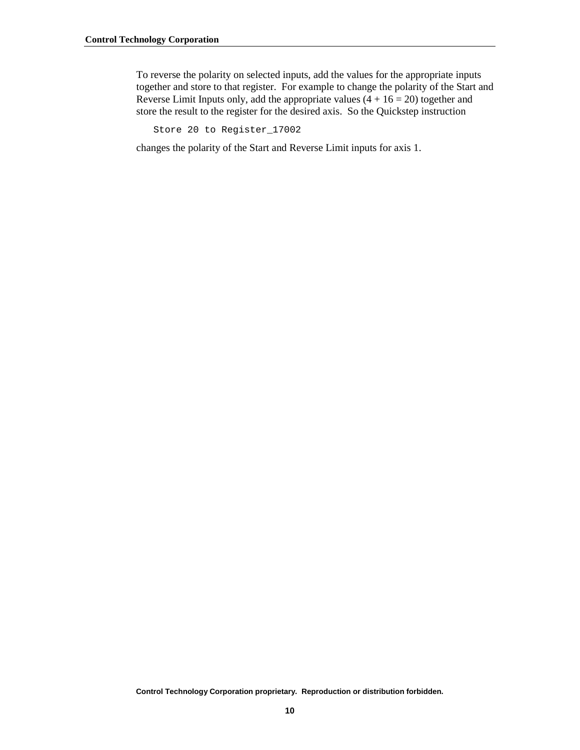To reverse the polarity on selected inputs, add the values for the appropriate inputs together and store to that register. For example to change the polarity of the Start and Reverse Limit Inputs only, add the appropriate values  $(4 + 16 = 20)$  together and store the result to the register for the desired axis. So the Quickstep instruction

Store 20 to Register\_17002

changes the polarity of the Start and Reverse Limit inputs for axis 1.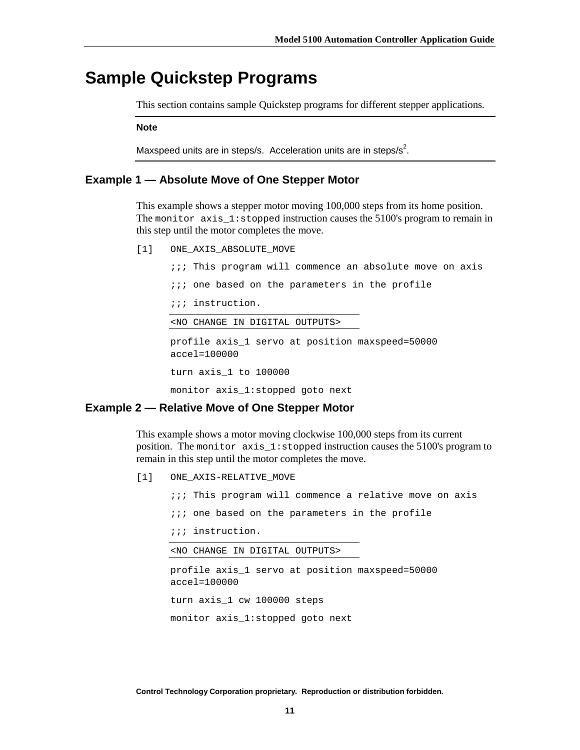# <span id="page-10-0"></span>**Sample Quickstep Programs**

This section contains sample Quickstep programs for different stepper applications.

**Note** 

Maxspeed units are in steps/s. Acceleration units are in steps/s<sup>2</sup>.

## **Example 1 — Absolute Move of One Stepper Motor**

This example shows a stepper motor moving 100,000 steps from its home position. The monitor  $axis_1:stoped$  instruction causes the 5100's program to remain in this step until the motor completes the move.

[1] ONE\_AXIS\_ABSOLUTE\_MOVE

;;; This program will commence an absolute move on axis

 $i:i$  one based on the parameters in the profile

;;; instruction.

<NO CHANGE IN DIGITAL OUTPUTS>

profile axis\_1 servo at position maxspeed=50000 accel=100000 turn axis\_1 to 100000

monitor axis\_1:stopped goto next

# **Example 2 — Relative Move of One Stepper Motor**

This example shows a motor moving clockwise 100,000 steps from its current position. The monitor axis\_1:stopped instruction causes the 5100's program to remain in this step until the motor completes the move.

[1] ONE\_AXIS-RELATIVE\_MOVE

;;; This program will commence a relative move on axis

 $\cdots$  one based on the parameters in the profile

;;; instruction.

<NO CHANGE IN DIGITAL OUTPUTS>

profile axis\_1 servo at position maxspeed=50000 accel=100000 turn axis\_1 cw 100000 steps monitor axis\_1:stopped goto next

**Control Technology Corporation proprietary. Reproduction or distribution forbidden.**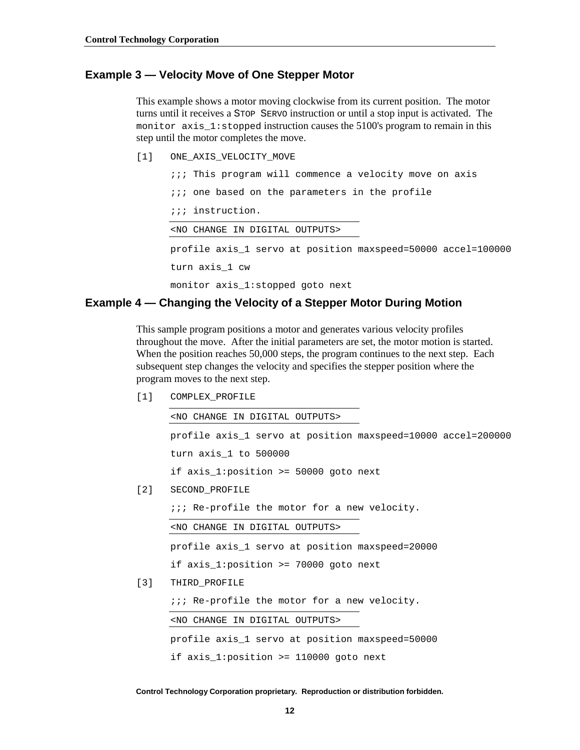## <span id="page-11-0"></span>**Example 3 — Velocity Move of One Stepper Motor**

This example shows a motor moving clockwise from its current position. The motor turns until it receives a STOP SERVO instruction or until a stop input is activated. The monitor axis  $1$ : stopped instruction causes the 5100's program to remain in this step until the motor completes the move.

[1] ONE\_AXIS\_VELOCITY\_MOVE

;;; This program will commence a velocity move on axis  $i:i$  one based on the parameters in the profile ;;; instruction. <NO CHANGE IN DIGITAL OUTPUTS> profile axis\_1 servo at position maxspeed=50000 accel=100000 turn axis\_1 cw monitor axis\_1:stopped goto next

### **Example 4 — Changing the Velocity of a Stepper Motor During Motion**

This sample program positions a motor and generates various velocity profiles throughout the move. After the initial parameters are set, the motor motion is started. When the position reaches 50,000 steps, the program continues to the next step. Each subsequent step changes the velocity and specifies the stepper position where the program moves to the next step.

[1] COMPLEX\_PROFILE

<NO CHANGE IN DIGITAL OUTPUTS>

profile axis\_1 servo at position maxspeed=10000 accel=200000 turn axis\_1 to 500000 if axis\_1:position >= 50000 goto next

[2] SECOND\_PROFILE

;;; Re-profile the motor for a new velocity.

<NO CHANGE IN DIGITAL OUTPUTS>

profile axis\_1 servo at position maxspeed=20000

if axis\_1:position >= 70000 goto next

[3] THIRD\_PROFILE

*iii* Re-profile the motor for a new velocity.

<NO CHANGE IN DIGITAL OUTPUTS>

profile axis\_1 servo at position maxspeed=50000 if axis\_1:position >= 110000 goto next

**Control Technology Corporation proprietary. Reproduction or distribution forbidden.**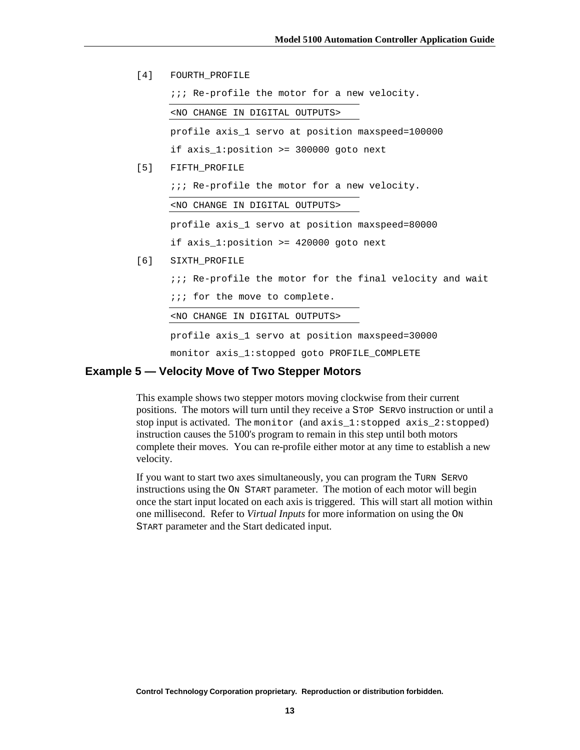<span id="page-12-0"></span>[4] FOURTH PROFILE

;;; Re-profile the motor for a new velocity.

<NO CHANGE IN DIGITAL OUTPUTS>

profile axis\_1 servo at position maxspeed=100000

if axis\_1:position >= 300000 goto next

[5] FIFTH\_PROFILE

*ii*; Re-profile the motor for a new velocity.

<NO CHANGE IN DIGITAL OUTPUTS>

profile axis\_1 servo at position maxspeed=80000

if axis 1: position  $>= 420000$  goto next

- [6] SIXTH\_PROFILE
	- $i:i$  Re-profile the motor for the final velocity and wait
	- ;;; for the move to complete.

<NO CHANGE IN DIGITAL OUTPUTS>

profile axis\_1 servo at position maxspeed=30000

monitor axis\_1:stopped goto PROFILE\_COMPLETE

## **Example 5 — Velocity Move of Two Stepper Motors**

This example shows two stepper motors moving clockwise from their current positions. The motors will turn until they receive a STOP SERVO instruction or until a stop input is activated. The monitor (and axis\_1:stopped axis\_2:stopped) instruction causes the 5100's program to remain in this step until both motors complete their moves. You can re-profile either motor at any time to establish a new velocity.

If you want to start two axes simultaneously, you can program the TURN SERVO instructions using the ON START parameter. The motion of each motor will begin once the start input located on each axis is triggered. This will start all motion within one millisecond. Refer to *Virtual Inputs* for more information on using the ON START parameter and the Start dedicated input.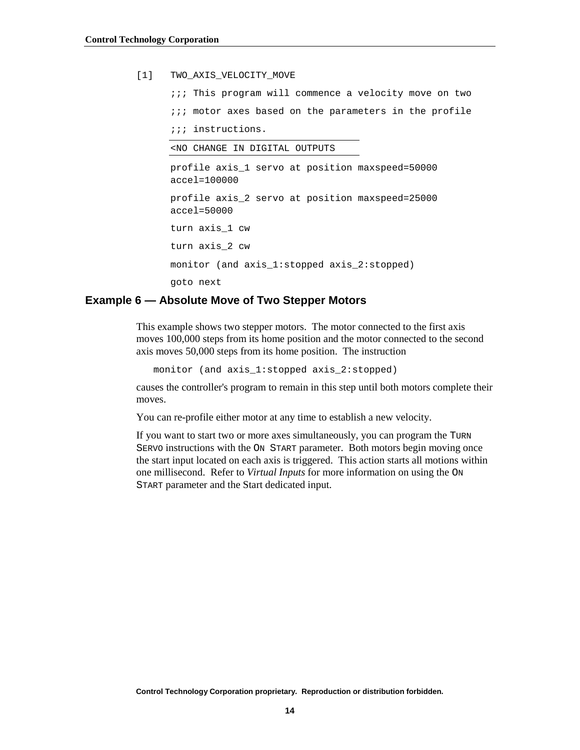<span id="page-13-0"></span>[1] TWO AXIS VELOCITY MOVE

 $i:i$  This program will commence a velocity move on two  $i:i$  motor axes based on the parameters in the profile ;;; instructions. <NO CHANGE IN DIGITAL OUTPUTS profile axis\_1 servo at position maxspeed=50000 accel=100000 profile axis\_2 servo at position maxspeed=25000 accel=50000 turn axis\_1 cw turn axis\_2 cw monitor (and axis\_1:stopped axis\_2:stopped) goto next

## **Example 6 — Absolute Move of Two Stepper Motors**

This example shows two stepper motors. The motor connected to the first axis moves 100,000 steps from its home position and the motor connected to the second axis moves 50,000 steps from its home position. The instruction

monitor (and axis\_1:stopped axis\_2:stopped)

causes the controller's program to remain in this step until both motors complete their moves.

You can re-profile either motor at any time to establish a new velocity.

If you want to start two or more axes simultaneously, you can program the TURN SERVO instructions with the ON START parameter. Both motors begin moving once the start input located on each axis is triggered. This action starts all motions within one millisecond. Refer to *Virtual Inputs* for more information on using the ON START parameter and the Start dedicated input.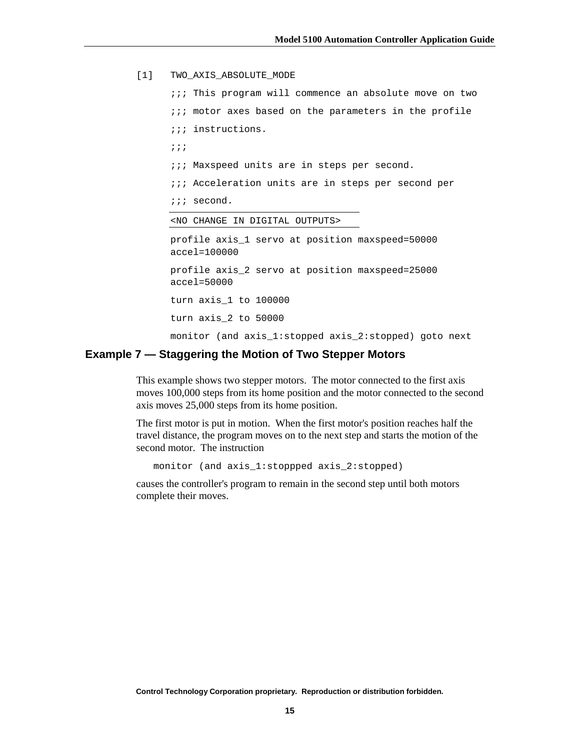```
[1] TWO_AXIS_ABSOLUTE_MODE
```
 $i:i$  This program will commence an absolute move on two  $i:i$  motor axes based on the parameters in the profile ;;; instructions. ;;; *iii* Maxspeed units are in steps per second. *iii* Acceleration units are in steps per second per ;;; second. <NO CHANGE IN DIGITAL OUTPUTS> profile axis\_1 servo at position maxspeed=50000 accel=100000 profile axis\_2 servo at position maxspeed=25000 accel=50000 turn axis\_1 to 100000 turn axis\_2 to 50000 monitor (and axis\_1:stopped axis\_2:stopped) goto next

### **Example 7 — Staggering the Motion of Two Stepper Motors**

This example shows two stepper motors. The motor connected to the first axis moves 100,000 steps from its home position and the motor connected to the second axis moves 25,000 steps from its home position.

The first motor is put in motion. When the first motor's position reaches half the travel distance, the program moves on to the next step and starts the motion of the second motor. The instruction

monitor (and axis\_1:stoppped axis\_2:stopped)

causes the controller's program to remain in the second step until both motors complete their moves.